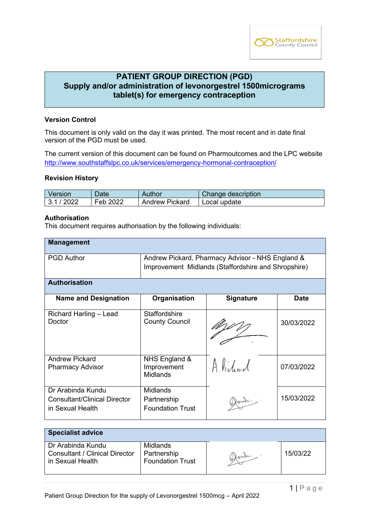

# **PATIENT GROUP DIRECTION (PGD) Supply and/or administration of levonorgestrel 1500micrograms tablet(s) for emergency contraception**

## **Version Control**

This document is only valid on the day it was printed. The most recent and in date final version of the PGD must be used.

The current version of this document can be found on Pharmoutcomes and the LPC website <http://www.southstaffslpc.co.uk/services/emergency-hormonal-contraception/>

#### **Revision History**

| Version  | Date     | Author         | Change description |
|----------|----------|----------------|--------------------|
| 3.1/2022 | Feb 2022 | Andrew Pickard | Local update       |

#### **Authorisation**

This document requires authorisation by the following individuals:

| <b>Management</b>                                                            |                                                                                                         |                  |             |
|------------------------------------------------------------------------------|---------------------------------------------------------------------------------------------------------|------------------|-------------|
| <b>PGD Author</b>                                                            | Andrew Pickard, Pharmacy Advisor - NHS England &<br>Improvement Midlands (Staffordshire and Shropshire) |                  |             |
| <b>Authorisation</b>                                                         |                                                                                                         |                  |             |
| <b>Name and Designation</b>                                                  | Organisation                                                                                            | <b>Signature</b> | <b>Date</b> |
| Richard Harling - Lead<br>Doctor                                             | <b>Staffordshire</b><br><b>County Council</b>                                                           |                  | 30/03/2022  |
| <b>Andrew Pickard</b><br><b>Pharmacy Advisor</b>                             | NHS England &<br>Improvement<br>Midlands                                                                | Alidead          | 07/03/2022  |
| Dr Arabinda Kundu<br><b>Consultant/Clinical Director</b><br>in Sexual Health | Midlands<br>Partnership<br><b>Foundation Trust</b>                                                      | Hende,           | 15/03/2022  |

| <b>Specialist advice</b>                                                       |                                                    |        |          |
|--------------------------------------------------------------------------------|----------------------------------------------------|--------|----------|
| Dr Arabinda Kundu<br><b>Consultant / Clinical Director</b><br>in Sexual Health | Midlands<br>Partnership<br><b>Foundation Trust</b> | Wends. | 15/03/22 |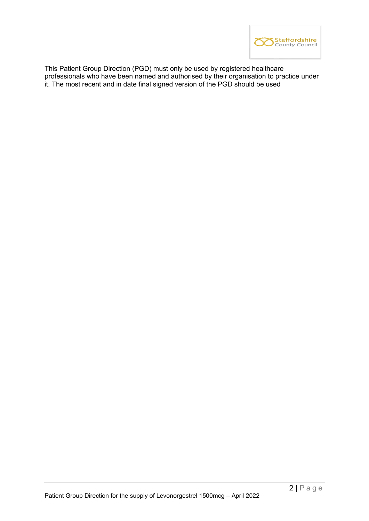

This Patient Group Direction (PGD) must only be used by registered healthcare professionals who have been named and authorised by their organisation to practice under it. The most recent and in date final signed version of the PGD should be used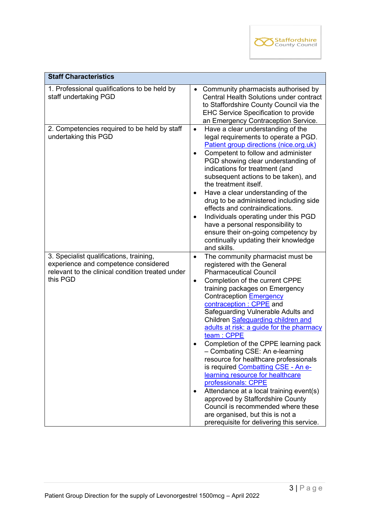

| <b>Staff Characteristics</b>                                                                                                                    |                                                                                                                                                                                                                                                                                                                                                                                                                                                                                                                                                                                                                                                                                                                                                                                                                                    |
|-------------------------------------------------------------------------------------------------------------------------------------------------|------------------------------------------------------------------------------------------------------------------------------------------------------------------------------------------------------------------------------------------------------------------------------------------------------------------------------------------------------------------------------------------------------------------------------------------------------------------------------------------------------------------------------------------------------------------------------------------------------------------------------------------------------------------------------------------------------------------------------------------------------------------------------------------------------------------------------------|
| 1. Professional qualifications to be held by<br>staff undertaking PGD                                                                           | Community pharmacists authorised by<br>$\bullet$<br>Central Health Solutions under contract<br>to Staffordshire County Council via the<br><b>EHC Service Specification to provide</b><br>an Emergency Contraception Service.                                                                                                                                                                                                                                                                                                                                                                                                                                                                                                                                                                                                       |
| 2. Competencies required to be held by staff<br>undertaking this PGD                                                                            | Have a clear understanding of the<br>$\bullet$<br>legal requirements to operate a PGD.<br>Patient group directions (nice.org.uk)<br>Competent to follow and administer<br>$\bullet$<br>PGD showing clear understanding of<br>indications for treatment (and<br>subsequent actions to be taken), and<br>the treatment itself.<br>Have a clear understanding of the<br>drug to be administered including side<br>effects and contraindications.<br>Individuals operating under this PGD<br>$\bullet$<br>have a personal responsibility to<br>ensure their on-going competency by<br>continually updating their knowledge<br>and skills.                                                                                                                                                                                              |
| 3. Specialist qualifications, training,<br>experience and competence considered<br>relevant to the clinical condition treated under<br>this PGD | The community pharmacist must be<br>$\bullet$<br>registered with the General<br><b>Pharmaceutical Council</b><br>Completion of the current CPPE<br>$\bullet$<br>training packages on Emergency<br>Contraception Emergency<br>contraception : CPPE and<br>Safeguarding Vulnerable Adults and<br>Children Safeguarding children and<br>adults at risk: a guide for the pharmacy<br>team: CPPE<br>Completion of the CPPE learning pack<br>- Combating CSE: An e-learning<br>resource for healthcare professionals<br>is required Combatting CSE - An e-<br>learning resource for healthcare<br>professionals: CPPE<br>Attendance at a local training event(s)<br>$\bullet$<br>approved by Staffordshire County<br>Council is recommended where these<br>are organised, but this is not a<br>prerequisite for delivering this service. |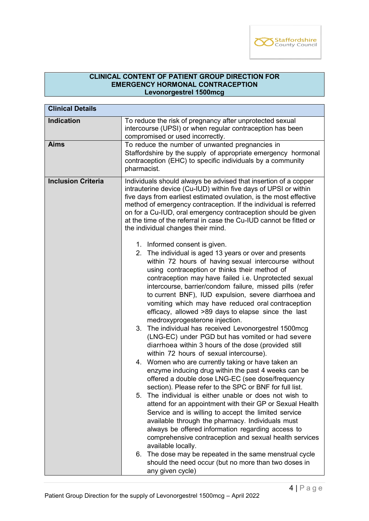

# **CLINICAL CONTENT OF PATIENT GROUP DIRECTION FOR EMERGENCY HORMONAL CONTRACEPTION Levonorgestrel 1500mcg**

| <b>Clinical Details</b>   |                                                                                                                                                                                                                                                                                                                                                                                                                                                                                                                                                                                                                                                                                                                                                                                                                                                                                                                                                                                                                                                                                                                                                                                                                                                                                                                                                                                                                |
|---------------------------|----------------------------------------------------------------------------------------------------------------------------------------------------------------------------------------------------------------------------------------------------------------------------------------------------------------------------------------------------------------------------------------------------------------------------------------------------------------------------------------------------------------------------------------------------------------------------------------------------------------------------------------------------------------------------------------------------------------------------------------------------------------------------------------------------------------------------------------------------------------------------------------------------------------------------------------------------------------------------------------------------------------------------------------------------------------------------------------------------------------------------------------------------------------------------------------------------------------------------------------------------------------------------------------------------------------------------------------------------------------------------------------------------------------|
| <b>Indication</b>         | To reduce the risk of pregnancy after unprotected sexual<br>intercourse (UPSI) or when regular contraception has been<br>compromised or used incorrectly.                                                                                                                                                                                                                                                                                                                                                                                                                                                                                                                                                                                                                                                                                                                                                                                                                                                                                                                                                                                                                                                                                                                                                                                                                                                      |
| <b>Aims</b>               | To reduce the number of unwanted pregnancies in<br>Staffordshire by the supply of appropriate emergency hormonal<br>contraception (EHC) to specific individuals by a community<br>pharmacist.                                                                                                                                                                                                                                                                                                                                                                                                                                                                                                                                                                                                                                                                                                                                                                                                                                                                                                                                                                                                                                                                                                                                                                                                                  |
| <b>Inclusion Criteria</b> | Individuals should always be advised that insertion of a copper<br>intrauterine device (Cu-IUD) within five days of UPSI or within<br>five days from earliest estimated ovulation, is the most effective<br>method of emergency contraception. If the individual is referred<br>on for a Cu-IUD, oral emergency contraception should be given<br>at the time of the referral in case the Cu-IUD cannot be fitted or<br>the individual changes their mind.                                                                                                                                                                                                                                                                                                                                                                                                                                                                                                                                                                                                                                                                                                                                                                                                                                                                                                                                                      |
|                           | 1. Informed consent is given.<br>2. The individual is aged 13 years or over and presents<br>within 72 hours of having sexual intercourse without<br>using contraception or thinks their method of<br>contraception may have failed i.e. Unprotected sexual<br>intercourse, barrier/condom failure, missed pills (refer<br>to current BNF), IUD expulsion, severe diarrhoea and<br>vomiting which may have reduced oral contraception<br>efficacy, allowed >89 days to elapse since the last<br>medroxyprogesterone injection.<br>3. The individual has received Levonorgestrel 1500mcg<br>(LNG-EC) under PGD but has vomited or had severe<br>diarrhoea within 3 hours of the dose (provided still<br>within 72 hours of sexual intercourse).<br>4. Women who are currently taking or have taken an<br>enzyme inducing drug within the past 4 weeks can be<br>offered a double dose LNG-EC (see dose/frequency<br>section). Please refer to the SPC or BNF for full list.<br>The individual is either unable or does not wish to<br>5.<br>attend for an appointment with their GP or Sexual Health<br>Service and is willing to accept the limited service<br>available through the pharmacy. Individuals must<br>always be offered information regarding access to<br>comprehensive contraception and sexual health services<br>available locally.<br>6. The dose may be repeated in the same menstrual cycle |
|                           | should the need occur (but no more than two doses in<br>any given cycle)                                                                                                                                                                                                                                                                                                                                                                                                                                                                                                                                                                                                                                                                                                                                                                                                                                                                                                                                                                                                                                                                                                                                                                                                                                                                                                                                       |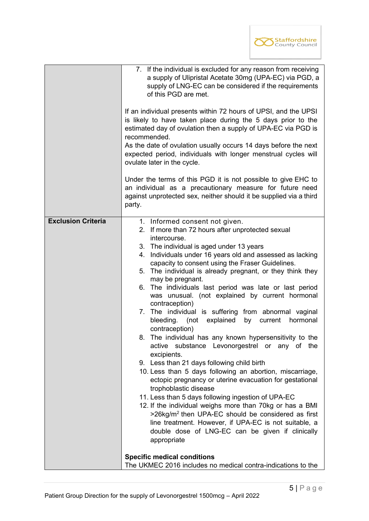

|                           | 7. If the individual is excluded for any reason from receiving<br>a supply of Ulipristal Acetate 30mg (UPA-EC) via PGD, a<br>supply of LNG-EC can be considered if the requirements<br>of this PGD are met.<br>If an individual presents within 72 hours of UPSI, and the UPSI<br>is likely to have taken place during the 5 days prior to the<br>estimated day of ovulation then a supply of UPA-EC via PGD is<br>recommended.<br>As the date of ovulation usually occurs 14 days before the next<br>expected period, individuals with longer menstrual cycles will<br>ovulate later in the cycle.                                                                                                                                                                                                                                                                                                                                                                                                                                                                                                                                                                                                                                                                                                            |  |  |
|---------------------------|----------------------------------------------------------------------------------------------------------------------------------------------------------------------------------------------------------------------------------------------------------------------------------------------------------------------------------------------------------------------------------------------------------------------------------------------------------------------------------------------------------------------------------------------------------------------------------------------------------------------------------------------------------------------------------------------------------------------------------------------------------------------------------------------------------------------------------------------------------------------------------------------------------------------------------------------------------------------------------------------------------------------------------------------------------------------------------------------------------------------------------------------------------------------------------------------------------------------------------------------------------------------------------------------------------------|--|--|
|                           | Under the terms of this PGD it is not possible to give EHC to<br>an individual as a precautionary measure for future need<br>against unprotected sex, neither should it be supplied via a third<br>party.                                                                                                                                                                                                                                                                                                                                                                                                                                                                                                                                                                                                                                                                                                                                                                                                                                                                                                                                                                                                                                                                                                      |  |  |
| <b>Exclusion Criteria</b> | 1. Informed consent not given.<br>2. If more than 72 hours after unprotected sexual<br>intercourse.<br>3. The individual is aged under 13 years<br>4. Individuals under 16 years old and assessed as lacking<br>capacity to consent using the Fraser Guidelines.<br>5. The individual is already pregnant, or they think they<br>may be pregnant.<br>The individuals last period was late or last period<br>6.<br>was unusual. (not explained by current hormonal<br>contraception)<br>7. The individual is suffering from abnormal vaginal<br>bleeding. (not<br>explained<br>by<br>current<br>hormonal<br>contraception)<br>The individual has any known hypersensitivity to the<br>8.<br>active substance Levonorgestrel or any of<br>the<br>excipients.<br>9. Less than 21 days following child birth<br>10. Less than 5 days following an abortion, miscarriage,<br>ectopic pregnancy or uterine evacuation for gestational<br>trophoblastic disease<br>11. Less than 5 days following ingestion of UPA-EC<br>12. If the individual weighs more than 70kg or has a BMI<br>>26kg/m <sup>2</sup> then UPA-EC should be considered as first<br>line treatment. However, if UPA-EC is not suitable, a<br>double dose of LNG-EC can be given if clinically<br>appropriate<br><b>Specific medical conditions</b> |  |  |
|                           | The UKMEC 2016 includes no medical contra-indications to the                                                                                                                                                                                                                                                                                                                                                                                                                                                                                                                                                                                                                                                                                                                                                                                                                                                                                                                                                                                                                                                                                                                                                                                                                                                   |  |  |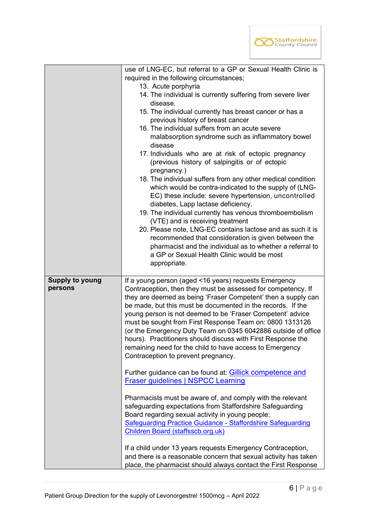

|                        | use of LNG-EC, but referral to a GP or Sexual Health Clinic is                                                                |
|------------------------|-------------------------------------------------------------------------------------------------------------------------------|
|                        | required in the following circumstances;                                                                                      |
|                        | 13. Acute porphyria                                                                                                           |
|                        | 14. The individual is currently suffering from severe liver                                                                   |
|                        | disease.                                                                                                                      |
|                        | 15. The individual currently has breast cancer or has a                                                                       |
|                        | previous history of breast cancer                                                                                             |
|                        | 16. The individual suffers from an acute severe                                                                               |
|                        | malabsorption syndrome such as inflammatory bowel                                                                             |
|                        | disease                                                                                                                       |
|                        | 17. Individuals who are at risk of ectopic pregnancy                                                                          |
|                        | (previous history of salpingitis or of ectopic                                                                                |
|                        | pregnancy.)                                                                                                                   |
|                        | 18. The individual suffers from any other medical condition                                                                   |
|                        | which would be contra-indicated to the supply of (LNG-                                                                        |
|                        | EC) these include: severe hypertension, uncontrolled                                                                          |
|                        | diabetes, Lapp lactase deficiency.                                                                                            |
|                        | 19. The individual currently has venous thromboembolism                                                                       |
|                        | (VTE) and is receiving treatment                                                                                              |
|                        | 20. Please note, LNG-EC contains lactose and as such it is                                                                    |
|                        | recommended that consideration is given between the                                                                           |
|                        | pharmacist and the individual as to whether a referral to                                                                     |
|                        | a GP or Sexual Health Clinic would be most                                                                                    |
|                        | appropriate.                                                                                                                  |
|                        |                                                                                                                               |
| <b>Supply to young</b> | If a young person (aged <16 years) requests Emergency                                                                         |
| persons                | Contraception, then they must be assessed for competency. If                                                                  |
|                        | they are deemed as being 'Fraser Competent' then a supply can                                                                 |
|                        | be made, but this must be documented in the records. If the                                                                   |
|                        | young person is not deemed to be 'Fraser Competent' advice                                                                    |
|                        | must be sought from First Response Team on: 0800 1313126                                                                      |
|                        | (or the Emergency Duty Team on 0345 6042886 outside of office<br>hours). Practitioners should discuss with First Response the |
|                        |                                                                                                                               |
|                        | remaining need for the child to have access to Emergency<br>Contraception to prevent pregnancy.                               |
|                        |                                                                                                                               |
|                        | Further guidance can be found at: Gillick competence and                                                                      |
|                        | <b>Fraser guidelines   NSPCC Learning</b>                                                                                     |
|                        |                                                                                                                               |
|                        | Pharmacists must be aware of, and comply with the relevant                                                                    |
|                        | safeguarding expectations from Staffordshire Safeguarding                                                                     |
|                        | Board regarding sexual activity in young people:                                                                              |
|                        | Safeguarding Practice Guidance - Staffordshire Safeguarding                                                                   |
|                        | Children Board (staffsscb.org.uk)                                                                                             |
|                        |                                                                                                                               |
|                        | If a child under 13 years requests Emergency Contraception,                                                                   |
|                        | and there is a reasonable concern that sexual activity has taken                                                              |
|                        | place, the pharmacist should always contact the First Response                                                                |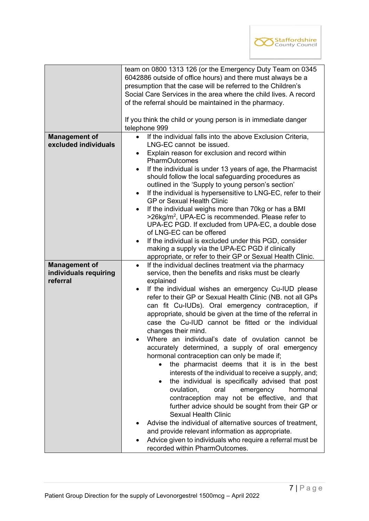

|                       | team on 0800 1313 126 (or the Emergency Duty Team on 0345<br>6042886 outside of office hours) and there must always be a |  |  |
|-----------------------|--------------------------------------------------------------------------------------------------------------------------|--|--|
|                       |                                                                                                                          |  |  |
|                       | presumption that the case will be referred to the Children's                                                             |  |  |
|                       | Social Care Services in the area where the child lives. A record                                                         |  |  |
|                       | of the referral should be maintained in the pharmacy.                                                                    |  |  |
|                       |                                                                                                                          |  |  |
|                       | If you think the child or young person is in immediate danger                                                            |  |  |
|                       | telephone 999                                                                                                            |  |  |
| <b>Management of</b>  | If the individual falls into the above Exclusion Criteria,<br>$\bullet$                                                  |  |  |
| excluded individuals  | LNG-EC cannot be issued.                                                                                                 |  |  |
|                       | Explain reason for exclusion and record within<br>$\bullet$                                                              |  |  |
|                       | PharmOutcomes                                                                                                            |  |  |
|                       |                                                                                                                          |  |  |
|                       | If the individual is under 13 years of age, the Pharmacist<br>$\bullet$                                                  |  |  |
|                       | should follow the local safeguarding procedures as                                                                       |  |  |
|                       | outlined in the 'Supply to young person's section'                                                                       |  |  |
|                       | If the individual is hypersensitive to LNG-EC, refer to their                                                            |  |  |
|                       | <b>GP or Sexual Health Clinic</b>                                                                                        |  |  |
|                       | If the individual weighs more than 70kg or has a BMI<br>$\bullet$                                                        |  |  |
|                       | >26kg/m <sup>2</sup> , UPA-EC is recommended. Please refer to                                                            |  |  |
|                       | UPA-EC PGD. If excluded from UPA-EC, a double dose                                                                       |  |  |
|                       | of LNG-EC can be offered                                                                                                 |  |  |
|                       | If the individual is excluded under this PGD, consider                                                                   |  |  |
|                       | making a supply via the UPA-EC PGD if clinically                                                                         |  |  |
|                       | appropriate, or refer to their GP or Sexual Health Clinic.                                                               |  |  |
| <b>Management of</b>  | If the individual declines treatment via the pharmacy<br>$\bullet$                                                       |  |  |
| individuals requiring | service, then the benefits and risks must be clearly                                                                     |  |  |
| referral              | explained                                                                                                                |  |  |
|                       | If the individual wishes an emergency Cu-IUD please                                                                      |  |  |
|                       | refer to their GP or Sexual Health Clinic (NB. not all GPs                                                               |  |  |
|                       | can fit Cu-IUDs). Oral emergency contraception, if                                                                       |  |  |
|                       | appropriate, should be given at the time of the referral in                                                              |  |  |
|                       | case the Cu-IUD cannot be fitted or the individual                                                                       |  |  |
|                       | changes their mind.                                                                                                      |  |  |
|                       | Where an individual's date of ovulation cannot be                                                                        |  |  |
|                       | accurately determined, a supply of oral emergency                                                                        |  |  |
|                       | hormonal contraception can only be made if;                                                                              |  |  |
|                       |                                                                                                                          |  |  |
|                       | the pharmacist deems that it is in the best                                                                              |  |  |
|                       | interests of the individual to receive a supply, and;                                                                    |  |  |
|                       | the individual is specifically advised that post                                                                         |  |  |
|                       | ovulation,<br>oral<br>emergency<br>hormonal                                                                              |  |  |
|                       | contraception may not be effective, and that                                                                             |  |  |
|                       | further advice should be sought from their GP or                                                                         |  |  |
|                       | <b>Sexual Health Clinic</b>                                                                                              |  |  |
|                       | Advise the individual of alternative sources of treatment,                                                               |  |  |
|                       | and provide relevant information as appropriate.                                                                         |  |  |
|                       | Advice given to individuals who require a referral must be                                                               |  |  |
|                       |                                                                                                                          |  |  |
|                       | recorded within PharmOutcomes.                                                                                           |  |  |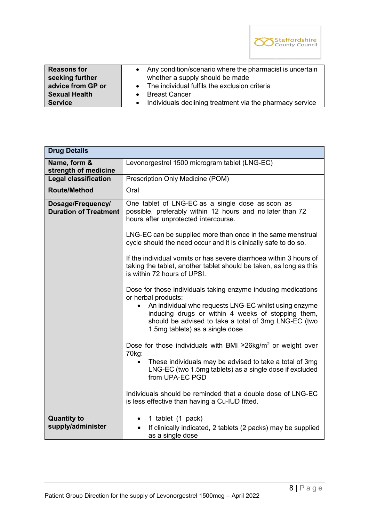

| <b>Reasons for</b>                                          | Any condition/scenario where the pharmacist is uncertain                                                                                         |
|-------------------------------------------------------------|--------------------------------------------------------------------------------------------------------------------------------------------------|
| seeking further                                             | whether a supply should be made                                                                                                                  |
| advice from GP or<br><b>Sexual Health</b><br><b>Service</b> | • The individual fulfils the exclusion criteria<br><b>Breast Cancer</b><br>Individuals declining treatment via the pharmacy service<br>$\bullet$ |

| <b>Drug Details</b>                               |                                                                                                                                                                                                                      |
|---------------------------------------------------|----------------------------------------------------------------------------------------------------------------------------------------------------------------------------------------------------------------------|
| Name, form &<br>strength of medicine              | Levonorgestrel 1500 microgram tablet (LNG-EC)                                                                                                                                                                        |
| Legal classification                              | Prescription Only Medicine (POM)                                                                                                                                                                                     |
| <b>Route/Method</b>                               | Oral                                                                                                                                                                                                                 |
| Dosage/Frequency/<br><b>Duration of Treatment</b> | One tablet of LNG-EC as a single dose as soon as<br>possible, preferably within 12 hours and no later than 72<br>hours after unprotected intercourse.<br>LNG-EC can be supplied more than once in the same menstrual |
|                                                   | cycle should the need occur and it is clinically safe to do so.                                                                                                                                                      |
|                                                   | If the individual vomits or has severe diarrhoea within 3 hours of<br>taking the tablet, another tablet should be taken, as long as this<br>is within 72 hours of UPSI.                                              |
|                                                   | Dose for those individuals taking enzyme inducing medications<br>or herbal products:                                                                                                                                 |
|                                                   | An individual who requests LNG-EC whilst using enzyme<br>inducing drugs or within 4 weeks of stopping them,<br>should be advised to take a total of 3mg LNG-EC (two<br>1.5mg tablets) as a single dose               |
|                                                   | Dose for those individuals with BMI $\geq$ 26kg/m <sup>2</sup> or weight over<br>70 <sub>kg</sub> :                                                                                                                  |
|                                                   | These individuals may be advised to take a total of 3mg<br>LNG-EC (two 1.5mg tablets) as a single dose if excluded<br>from UPA-EC PGD                                                                                |
|                                                   | Individuals should be reminded that a double dose of LNG-EC<br>is less effective than having a Cu-IUD fitted.                                                                                                        |
| <b>Quantity to</b><br>supply/administer           | 1 tablet (1 pack)<br>If clinically indicated, 2 tablets (2 packs) may be supplied<br>as a single dose                                                                                                                |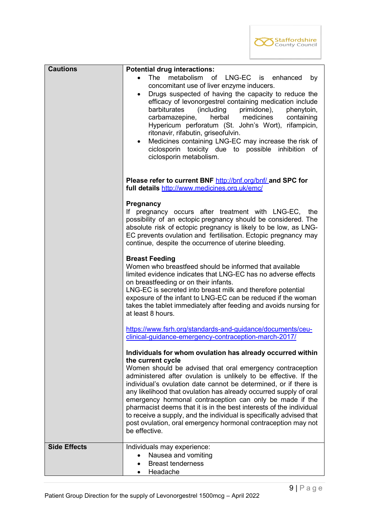

| <b>Cautions</b>     | <b>Potential drug interactions:</b>                                                                                                                                                                                                                                                                                                                                                                                                                                                                                                                                                                                                                    |
|---------------------|--------------------------------------------------------------------------------------------------------------------------------------------------------------------------------------------------------------------------------------------------------------------------------------------------------------------------------------------------------------------------------------------------------------------------------------------------------------------------------------------------------------------------------------------------------------------------------------------------------------------------------------------------------|
|                     | The metabolism of<br>LNG-EC is enhanced<br>by                                                                                                                                                                                                                                                                                                                                                                                                                                                                                                                                                                                                          |
|                     | concomitant use of liver enzyme inducers.<br>Drugs suspected of having the capacity to reduce the<br>$\bullet$<br>efficacy of levonorgestrel containing medication include<br>(including<br>barbiturates<br>primidone),<br>phenytoin,<br>herbal medicines<br>carbamazepine,<br>containing<br>Hypericum perforatum (St. John's Wort), rifampicin,<br>ritonavir, rifabutin, griseofulvin.<br>Medicines containing LNG-EC may increase the risk of<br>$\bullet$<br>ciclosporin toxicity due to possible inhibition of<br>ciclosporin metabolism.                                                                                                          |
|                     | Please refer to current BNF http://bnf.org/bnf/ and SPC for<br>full details http://www.medicines.org.uk/emc/                                                                                                                                                                                                                                                                                                                                                                                                                                                                                                                                           |
|                     | <b>Pregnancy</b><br>If pregnancy occurs after treatment with LNG-EC, the<br>possibility of an ectopic pregnancy should be considered. The<br>absolute risk of ectopic pregnancy is likely to be low, as LNG-<br>EC prevents ovulation and fertilisation. Ectopic pregnancy may<br>continue, despite the occurrence of uterine bleeding.                                                                                                                                                                                                                                                                                                                |
|                     | <b>Breast Feeding</b><br>Women who breastfeed should be informed that available<br>limited evidence indicates that LNG-EC has no adverse effects<br>on breastfeeding or on their infants.<br>LNG-EC is secreted into breast milk and therefore potential<br>exposure of the infant to LNG-EC can be reduced if the woman<br>takes the tablet immediately after feeding and avoids nursing for<br>at least 8 hours.                                                                                                                                                                                                                                     |
|                     | https://www.fsrh.org/standards-and-guidance/documents/ceu-<br>clinical-guidance-emergency-contraception-march-2017/                                                                                                                                                                                                                                                                                                                                                                                                                                                                                                                                    |
|                     | Individuals for whom ovulation has already occurred within<br>the current cycle<br>Women should be advised that oral emergency contraception<br>administered after ovulation is unlikely to be effective. If the<br>individual's ovulation date cannot be determined, or if there is<br>any likelihood that ovulation has already occurred supply of oral<br>emergency hormonal contraception can only be made if the<br>pharmacist deems that it is in the best interests of the individual<br>to receive a supply, and the individual is specifically advised that<br>post ovulation, oral emergency hormonal contraception may not<br>be effective. |
| <b>Side Effects</b> | Individuals may experience:<br>Nausea and vomiting<br>$\bullet$<br><b>Breast tenderness</b><br>$\bullet$<br>Headache                                                                                                                                                                                                                                                                                                                                                                                                                                                                                                                                   |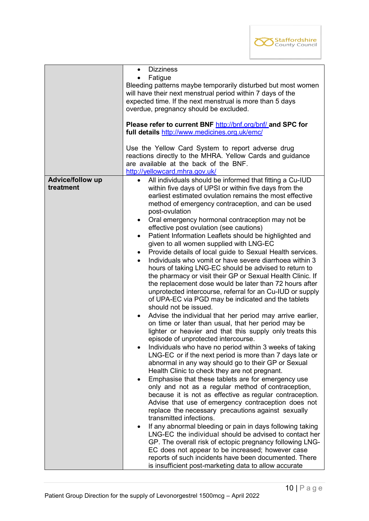

|                               | <b>Dizziness</b><br>$\bullet$<br>Fatigue<br>$\bullet$<br>Bleeding patterns maybe temporarily disturbed but most women<br>will have their next menstrual period within 7 days of the<br>expected time. If the next menstrual is more than 5 days<br>overdue, pregnancy should be excluded.<br>Please refer to current BNF http://bnf.org/bnf/ and SPC for<br>full details http://www.medicines.org.uk/emc/<br>Use the Yellow Card System to report adverse drug<br>reactions directly to the MHRA. Yellow Cards and guidance<br>are available at the back of the BNF.<br>http://yellowcard.mhra.gov.uk/                                                                                                                                                                                                                                                                                                                                                                                                                                                                                                                                                                                                                                                                                                                                                                                                                                                                                                                                                                                                                                                                                                                                                                                                                                                                                                                                                                                                                                                                                                         |
|-------------------------------|----------------------------------------------------------------------------------------------------------------------------------------------------------------------------------------------------------------------------------------------------------------------------------------------------------------------------------------------------------------------------------------------------------------------------------------------------------------------------------------------------------------------------------------------------------------------------------------------------------------------------------------------------------------------------------------------------------------------------------------------------------------------------------------------------------------------------------------------------------------------------------------------------------------------------------------------------------------------------------------------------------------------------------------------------------------------------------------------------------------------------------------------------------------------------------------------------------------------------------------------------------------------------------------------------------------------------------------------------------------------------------------------------------------------------------------------------------------------------------------------------------------------------------------------------------------------------------------------------------------------------------------------------------------------------------------------------------------------------------------------------------------------------------------------------------------------------------------------------------------------------------------------------------------------------------------------------------------------------------------------------------------------------------------------------------------------------------------------------------------|
| Advice/follow up<br>treatment | All individuals should be informed that fitting a Cu-IUD<br>$\bullet$<br>within five days of UPSI or within five days from the<br>earliest estimated ovulation remains the most effective<br>method of emergency contraception, and can be used<br>post-ovulation<br>Oral emergency hormonal contraception may not be<br>$\bullet$<br>effective post ovulation (see cautions)<br>Patient Information Leaflets should be highlighted and<br>$\bullet$<br>given to all women supplied with LNG-EC<br>Provide details of local guide to Sexual Health services.<br>$\bullet$<br>Individuals who vomit or have severe diarrhoea within 3<br>hours of taking LNG-EC should be advised to return to<br>the pharmacy or visit their GP or Sexual Health Clinic. If<br>the replacement dose would be later than 72 hours after<br>unprotected intercourse, referral for an Cu-IUD or supply<br>of UPA-EC via PGD may be indicated and the tablets<br>should not be issued.<br>Advise the individual that her period may arrive earlier,<br>on time or later than usual, that her period may be<br>lighter or heavier and that this supply only treats this<br>episode of unprotected intercourse.<br>Individuals who have no period within 3 weeks of taking<br>LNG-EC or if the next period is more than 7 days late or<br>abnormal in any way should go to their GP or Sexual<br>Health Clinic to check they are not pregnant.<br>Emphasise that these tablets are for emergency use<br>only and not as a regular method of contraception,<br>because it is not as effective as regular contraception.<br>Advise that use of emergency contraception does not<br>replace the necessary precautions against sexually<br>transmitted infections.<br>If any abnormal bleeding or pain in days following taking<br>$\bullet$<br>LNG-EC the individual should be advised to contact her<br>GP. The overall risk of ectopic pregnancy following LNG-<br>EC does not appear to be increased; however case<br>reports of such incidents have been documented. There<br>is insufficient post-marketing data to allow accurate |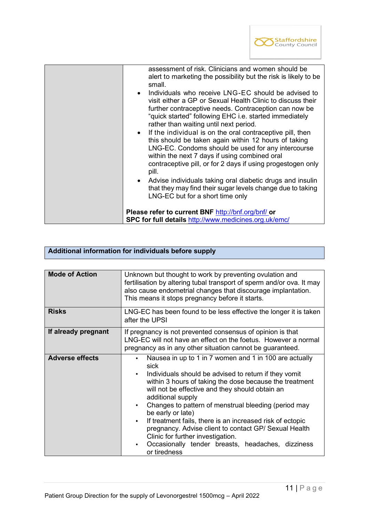

| assessment of risk. Clinicians and women should be<br>alert to marketing the possibility but the risk is likely to be<br>small.<br>• Individuals who receive LNG-EC should be advised to<br>visit either a GP or Sexual Health Clinic to discuss their<br>further contraceptive needs. Contraception can now be<br>"quick started" following EHC i.e. started immediately<br>rather than waiting until next period.<br>• If the individual is on the oral contraceptive pill, then<br>this should be taken again within 12 hours of taking<br>LNG-EC. Condoms should be used for any intercourse<br>within the next 7 days if using combined oral<br>contraceptive pill, or for 2 days if using progestogen only<br>pill.<br>• Advise individuals taking oral diabetic drugs and insulin<br>that they may find their sugar levels change due to taking<br>LNG-EC but for a short time only |
|--------------------------------------------------------------------------------------------------------------------------------------------------------------------------------------------------------------------------------------------------------------------------------------------------------------------------------------------------------------------------------------------------------------------------------------------------------------------------------------------------------------------------------------------------------------------------------------------------------------------------------------------------------------------------------------------------------------------------------------------------------------------------------------------------------------------------------------------------------------------------------------------|
| Please refer to current BNF http://bnf.org/bnf/ or<br>SPC for full details http://www.medicines.org.uk/emc/                                                                                                                                                                                                                                                                                                                                                                                                                                                                                                                                                                                                                                                                                                                                                                                |

# **Additional information for individuals before supply**

| <b>Mode of Action</b>  | Unknown but thought to work by preventing ovulation and<br>fertilisation by altering tubal transport of sperm and/or ova. It may<br>also cause endometrial changes that discourage implantation.<br>This means it stops pregnancy before it starts.                                                                                                                                                                                                                                                                                                                                                    |
|------------------------|--------------------------------------------------------------------------------------------------------------------------------------------------------------------------------------------------------------------------------------------------------------------------------------------------------------------------------------------------------------------------------------------------------------------------------------------------------------------------------------------------------------------------------------------------------------------------------------------------------|
| <b>Risks</b>           | LNG-EC has been found to be less effective the longer it is taken<br>after the UPSI                                                                                                                                                                                                                                                                                                                                                                                                                                                                                                                    |
| If already pregnant    | If pregnancy is not prevented consensus of opinion is that<br>LNG-EC will not have an effect on the foetus. However a normal<br>pregnancy as in any other situation cannot be guaranteed.                                                                                                                                                                                                                                                                                                                                                                                                              |
| <b>Adverse effects</b> | Nausea in up to 1 in 7 women and 1 in 100 are actually<br>٠<br>sick<br>Individuals should be advised to return if they vomit<br>within 3 hours of taking the dose because the treatment<br>will not be effective and they should obtain an<br>additional supply<br>Changes to pattern of menstrual bleeding (period may<br>$\bullet$<br>be early or late)<br>If treatment fails, there is an increased risk of ectopic<br>$\bullet$<br>pregnancy. Advise client to contact GP/ Sexual Health<br>Clinic for further investigation.<br>Occasionally tender breasts, headaches, dizziness<br>or tiredness |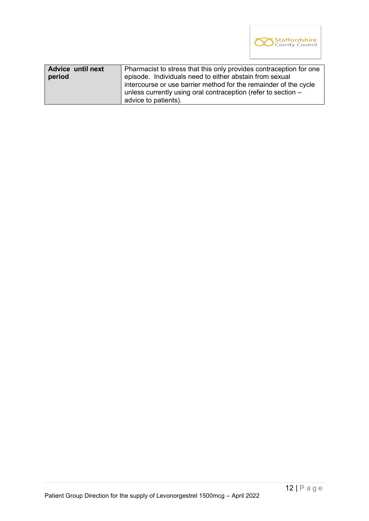

| <b>Advice until next</b><br>period | Pharmacist to stress that this only provides contraception for one<br>episode. Individuals need to either abstain from sexual<br>intercourse or use barrier method for the remainder of the cycle<br>unless currently using oral contraception (refer to section - |
|------------------------------------|--------------------------------------------------------------------------------------------------------------------------------------------------------------------------------------------------------------------------------------------------------------------|
|                                    | advice to patients).                                                                                                                                                                                                                                               |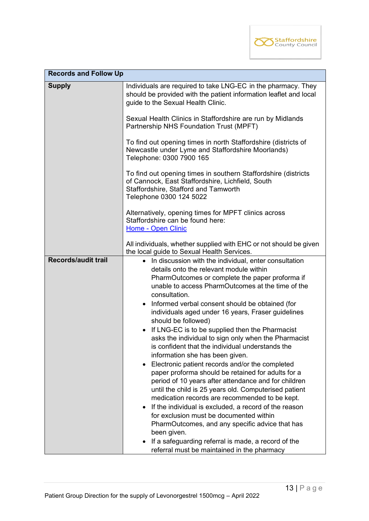

| <b>Records and Follow Up</b> |                                                                                                                                                                                                                                                                                                                                                                                                                                                                                                                                                                                                                                                                                                                                                                                                                                                                                                                                                                                                                                                                                          |  |
|------------------------------|------------------------------------------------------------------------------------------------------------------------------------------------------------------------------------------------------------------------------------------------------------------------------------------------------------------------------------------------------------------------------------------------------------------------------------------------------------------------------------------------------------------------------------------------------------------------------------------------------------------------------------------------------------------------------------------------------------------------------------------------------------------------------------------------------------------------------------------------------------------------------------------------------------------------------------------------------------------------------------------------------------------------------------------------------------------------------------------|--|
| <b>Supply</b>                | Individuals are required to take LNG-EC in the pharmacy. They<br>should be provided with the patient information leaflet and local<br>guide to the Sexual Health Clinic.                                                                                                                                                                                                                                                                                                                                                                                                                                                                                                                                                                                                                                                                                                                                                                                                                                                                                                                 |  |
|                              | Sexual Health Clinics in Staffordshire are run by Midlands<br>Partnership NHS Foundation Trust (MPFT)                                                                                                                                                                                                                                                                                                                                                                                                                                                                                                                                                                                                                                                                                                                                                                                                                                                                                                                                                                                    |  |
|                              | To find out opening times in north Staffordshire (districts of<br>Newcastle under Lyme and Staffordshire Moorlands)<br>Telephone: 0300 7900 165                                                                                                                                                                                                                                                                                                                                                                                                                                                                                                                                                                                                                                                                                                                                                                                                                                                                                                                                          |  |
|                              | To find out opening times in southern Staffordshire (districts<br>of Cannock, East Staffordshire, Lichfield, South<br>Staffordshire, Stafford and Tamworth<br>Telephone 0300 124 5022                                                                                                                                                                                                                                                                                                                                                                                                                                                                                                                                                                                                                                                                                                                                                                                                                                                                                                    |  |
|                              | Alternatively, opening times for MPFT clinics across<br>Staffordshire can be found here:<br>Home - Open Clinic                                                                                                                                                                                                                                                                                                                                                                                                                                                                                                                                                                                                                                                                                                                                                                                                                                                                                                                                                                           |  |
|                              | All individuals, whether supplied with EHC or not should be given<br>the local guide to Sexual Health Services.                                                                                                                                                                                                                                                                                                                                                                                                                                                                                                                                                                                                                                                                                                                                                                                                                                                                                                                                                                          |  |
| <b>Records/audit trail</b>   | • In discussion with the individual, enter consultation<br>details onto the relevant module within<br>PharmOutcomes or complete the paper proforma if<br>unable to access PharmOutcomes at the time of the<br>consultation.<br>Informed verbal consent should be obtained (for<br>individuals aged under 16 years, Fraser guidelines<br>should be followed)<br>If LNG-EC is to be supplied then the Pharmacist<br>asks the individual to sign only when the Pharmacist<br>is confident that the individual understands the<br>information she has been given.<br>Electronic patient records and/or the completed<br>٠<br>paper proforma should be retained for adults for a<br>period of 10 years after attendance and for children<br>until the child is 25 years old. Computerised patient<br>medication records are recommended to be kept.<br>If the individual is excluded, a record of the reason<br>$\bullet$<br>for exclusion must be documented within<br>PharmOutcomes, and any specific advice that has<br>been given.<br>If a safeguarding referral is made, a record of the |  |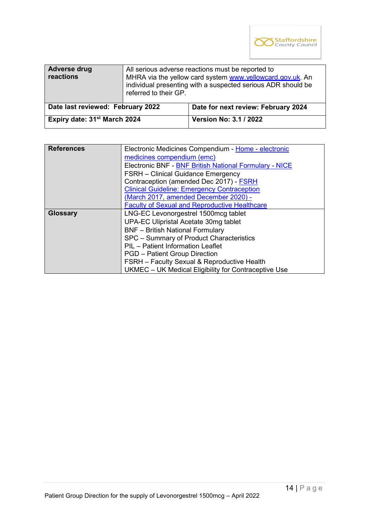

| <b>Adverse drug</b><br>reactions         | All serious adverse reactions must be reported to<br>MHRA via the yellow card system www.yellowcard.gov.uk. An<br>individual presenting with a suspected serious ADR should be<br>referred to their GP. |                                     |
|------------------------------------------|---------------------------------------------------------------------------------------------------------------------------------------------------------------------------------------------------------|-------------------------------------|
| Date last reviewed: February 2022        |                                                                                                                                                                                                         | Date for next review: February 2024 |
| Expiry date: 31 <sup>st</sup> March 2024 |                                                                                                                                                                                                         | <b>Version No: 3.1 / 2022</b>       |

| <b>References</b> | Electronic Medicines Compendium - Home - electronic    |  |  |  |
|-------------------|--------------------------------------------------------|--|--|--|
|                   | medicines compendium (emc)                             |  |  |  |
|                   | Electronic BNF - BNF British National Formulary - NICE |  |  |  |
|                   | <b>FSRH</b> – Clinical Guidance Emergency              |  |  |  |
|                   | Contraception (amended Dec 2017) - FSRH                |  |  |  |
|                   | <b>Clinical Guideline: Emergency Contraception</b>     |  |  |  |
|                   | (March 2017, amended December 2020) -                  |  |  |  |
|                   | <b>Faculty of Sexual and Reproductive Healthcare</b>   |  |  |  |
| <b>Glossary</b>   | LNG-EC Levonorgestrel 1500mcg tablet                   |  |  |  |
|                   | UPA-EC Ulipristal Acetate 30mg tablet                  |  |  |  |
|                   | <b>BNF</b> - British National Formulary                |  |  |  |
|                   | SPC - Summary of Product Characteristics               |  |  |  |
|                   | PIL - Patient Information Leaflet                      |  |  |  |
|                   | <b>PGD</b> – Patient Group Direction                   |  |  |  |
|                   | <b>FSRH</b> – Faculty Sexual & Reproductive Health     |  |  |  |
|                   | UKMEC - UK Medical Eligibility for Contraceptive Use   |  |  |  |